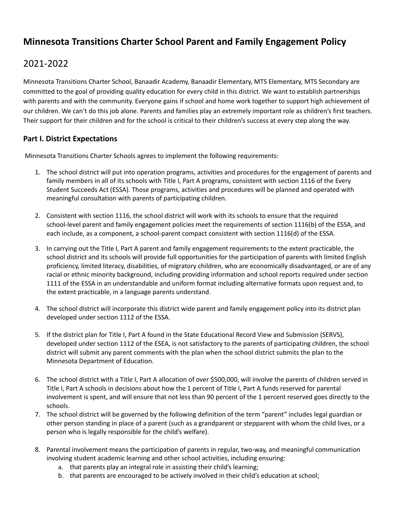# **Minnesota Transitions Charter School Parent and Family Engagement Policy**

## 2021-2022

Minnesota Transitions Charter School, Banaadir Academy, Banaadir Elementary, MTS Elementary, MTS Secondary are committed to the goal of providing quality education for every child in this district. We want to establish partnerships with parents and with the community. Everyone gains if school and home work together to support high achievement of our children. We can't do this job alone. Parents and families play an extremely important role as children's first teachers. Their support for their children and for the school is critical to their children's success at every step along the way.

#### **Part I. District Expectations**

Minnesota Transitions Charter Schools agrees to implement the following requirements:

- 1. The school district will put into operation programs, activities and procedures for the engagement of parents and family members in all of its schools with Title I, Part A programs, consistent with section 1116 of the Every Student Succeeds Act (ESSA). Those programs, activities and procedures will be planned and operated with meaningful consultation with parents of participating children.
- 2. Consistent with section 1116, the school district will work with its schools to ensure that the required school-level parent and family engagement policies meet the requirements of section 1116(b) of the ESSA, and each include, as a component, a school-parent compact consistent with section 1116(d) of the ESSA.
- 3. In carrying out the Title I, Part A parent and family engagement requirements to the extent practicable, the school district and its schools will provide full opportunities for the participation of parents with limited English proficiency, limited literacy, disabilities, of migratory children, who are economically disadvantaged, or are of any racial or ethnic minority background, including providing information and school reports required under section 1111 of the ESSA in an understandable and uniform format including alternative formats upon request and, to the extent practicable, in a language parents understand.
- 4. The school district will incorporate this district wide parent and family engagement policy into its district plan developed under section 1112 of the ESSA.
- 5. If the district plan for Title I, Part A found in the State Educational Record View and Submission (SERVS), developed under section 1112 of the ESEA, is not satisfactory to the parents of participating children, the school district will submit any parent comments with the plan when the school district submits the plan to the Minnesota Department of Education.
- 6. The school district with a Title I, Part A allocation of over \$500,000, will involve the parents of children served in Title I, Part A schools in decisions about how the 1 percent of Title I, Part A funds reserved for parental involvement is spent, and will ensure that not less than 90 percent of the 1 percent reserved goes directly to the schools.
- 7. The school district will be governed by the following definition of the term "parent" includes legal guardian or other person standing in place of a parent (such as a grandparent or stepparent with whom the child lives, or a person who is legally responsible for the child's welfare).
- 8. Parental involvement means the participation of parents in regular, two-way, and meaningful communication involving student academic learning and other school activities, including ensuring:
	- a. that parents play an integral role in assisting their child's learning;
	- b. that parents are encouraged to be actively involved in their child's education at school;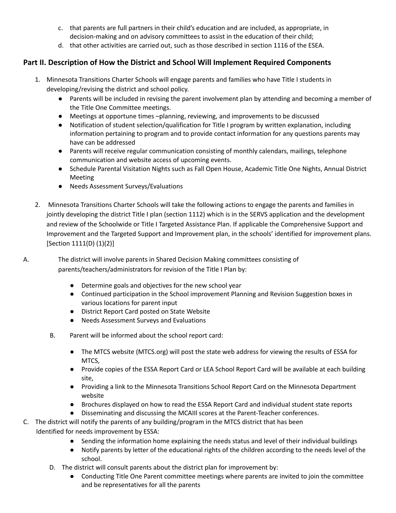- c. that parents are full partners in their child's education and are included, as appropriate, in decision-making and on advisory committees to assist in the education of their child;
- d. that other activities are carried out, such as those described in section 1116 of the ESEA.

## **Part II. Description of How the District and School Will Implement Required Components**

- 1. Minnesota Transitions Charter Schools will engage parents and families who have Title I students in developing/revising the district and school policy.
	- Parents will be included in revising the parent involvement plan by attending and becoming a member of the Title One Committee meetings.
	- Meetings at opportune times –planning, reviewing, and improvements to be discussed
	- Notification of student selection/qualification for Title I program by written explanation, including information pertaining to program and to provide contact information for any questions parents may have can be addressed
	- Parents will receive regular communication consisting of monthly calendars, mailings, telephone communication and website access of upcoming events.
	- Schedule Parental Visitation Nights such as Fall Open House, Academic Title One Nights, Annual District Meeting
	- Needs Assessment Surveys/Evaluations
- 2. Minnesota Transitions Charter Schools will take the following actions to engage the parents and families in jointly developing the district Title I plan (section 1112) which is in the SERVS application and the development and review of the Schoolwide or Title I Targeted Assistance Plan. If applicable the Comprehensive Support and Improvement and the Targeted Support and Improvement plan, in the schools' identified for improvement plans. [Section 1111(D) (1)(2)]
- 

A. The district will involve parents in Shared Decision Making committees consisting of parents/teachers/administrators for revision of the Title I Plan by:

- Determine goals and objectives for the new school year
- Continued participation in the School improvement Planning and Revision Suggestion boxes in various locations for parent input
- District Report Card posted on State Website
- Needs Assessment Surveys and Evaluations
- B. Parent will be informed about the school report card:
	- The MTCS website (MTCS.org) will post the state web address for viewing the results of ESSA for MTCS,
	- Provide copies of the ESSA Report Card or LEA School Report Card will be available at each building site,
	- Providing a link to the Minnesota Transitions School Report Card on the Minnesota Department website
	- Brochures displayed on how to read the ESSA Report Card and individual student state reports
	- Disseminating and discussing the MCAIIl scores at the Parent-Teacher conferences.
- C. The district will notify the parents of any building/program in the MTCS district that has been Identified for needs improvement by ESSA:
	- Sending the information home explaining the needs status and level of their individual buildings
	- Notify parents by letter of the educational rights of the children according to the needs level of the school.
	- D. The district will consult parents about the district plan for improvement by:
		- Conducting Title One Parent committee meetings where parents are invited to join the committee and be representatives for all the parents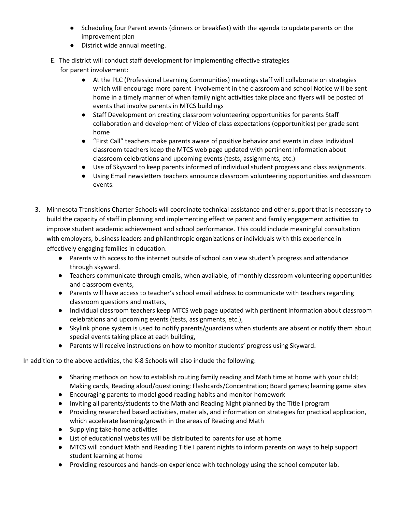- Scheduling four Parent events (dinners or breakfast) with the agenda to update parents on the improvement plan
- District wide annual meeting.
- E. The district will conduct staff development for implementing effective strategies

for parent involvement:

- At the PLC (Professional Learning Communities) meetings staff will collaborate on strategies which will encourage more parent involvement in the classroom and school Notice will be sent home in a timely manner of when family night activities take place and flyers will be posted of events that involve parents in MTCS buildings
- Staff Development on creating classroom volunteering opportunities for parents Staff collaboration and development of Video of class expectations (opportunities) per grade sent home
- "First Call" teachers make parents aware of positive behavior and events in class Individual classroom teachers keep the MTCS web page updated with pertinent Information about classroom celebrations and upcoming events (tests, assignments, etc.)
- Use of Skyward to keep parents informed of individual student progress and class assignments.
- Using Email newsletters teachers announce classroom volunteering opportunities and classroom events.
- 3. Minnesota Transitions Charter Schools will coordinate technical assistance and other support that is necessary to build the capacity of staff in planning and implementing effective parent and family engagement activities to improve student academic achievement and school performance. This could include meaningful consultation with employers, business leaders and philanthropic organizations or individuals with this experience in effectively engaging families in education.
	- Parents with access to the internet outside of school can view student's progress and attendance through skyward.
	- Teachers communicate through emails, when available, of monthly classroom volunteering opportunities and classroom events,
	- Parents will have access to teacher's school email address to communicate with teachers regarding classroom questions and matters,
	- Individual classroom teachers keep MTCS web page updated with pertinent information about classroom celebrations and upcoming events (tests, assignments, etc.),
	- Skylink phone system is used to notify parents/guardians when students are absent or notify them about special events taking place at each building,
	- Parents will receive instructions on how to monitor students' progress using Skyward.

In addition to the above activities, the K-8 Schools will also include the following:

- Sharing methods on how to establish routing family reading and Math time at home with your child; Making cards, Reading aloud/questioning; Flashcards/Concentration; Board games; learning game sites
- Encouraging parents to model good reading habits and monitor homework
- Inviting all parents/students to the Math and Reading Night planned by the Title I program
- Providing researched based activities, materials, and information on strategies for practical application, which accelerate learning/growth in the areas of Reading and Math
- Supplying take-home activities
- List of educational websites will be distributed to parents for use at home
- MTCS will conduct Math and Reading Title I parent nights to inform parents on ways to help support student learning at home
- Providing resources and hands-on experience with technology using the school computer lab.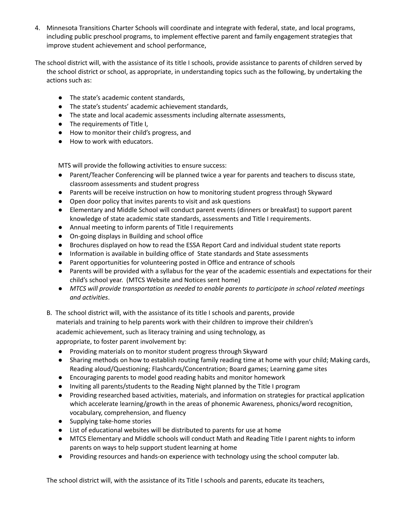- 4. Minnesota Transitions Charter Schools will coordinate and integrate with federal, state, and local programs, including public preschool programs, to implement effective parent and family engagement strategies that improve student achievement and school performance,
- The school district will, with the assistance of its title I schools, provide assistance to parents of children served by the school district or school, as appropriate, in understanding topics such as the following, by undertaking the actions such as:
	- The state's academic content standards,
	- The state's students' academic achievement standards,
	- The state and local academic assessments including alternate assessments,
	- The requirements of Title I,
	- How to monitor their child's progress, and
	- How to work with educators.

MTS will provide the following activities to ensure success:

- Parent/Teacher Conferencing will be planned twice a year for parents and teachers to discuss state, classroom assessments and student progress
- Parents will be receive instruction on how to monitoring student progress through Skyward
- Open door policy that invites parents to visit and ask questions
- Elementary and Middle School will conduct parent events (dinners or breakfast) to support parent knowledge of state academic state standards, assessments and Title I requirements.
- Annual meeting to inform parents of Title I requirements
- On-going displays in Building and school office
- Brochures displayed on how to read the ESSA Report Card and individual student state reports
- Information is available in building office of State standards and State assessments
- Parent opportunities for volunteering posted in Office and entrance of schools
- *●* Parents will be provided with a syllabus for the year of the academic essentials and expectations for their child's school year. (MTCS Website and Notices sent home)
- *MTCS will provide transportation as needed to enable parents to participate in school related meetings and activities*.
- B. The school district will, with the assistance of its title I schools and parents, provide

materials and training to help parents work with their children to improve their children's academic achievement, such as literacy training and using technology, as

appropriate, to foster parent involvement by:

- Providing materials on to monitor student progress through Skyward
- Sharing methods on how to establish routing family reading time at home with your child; Making cards, Reading aloud/Questioning; Flashcards/Concentration; Board games; Learning game sites
- Encouraging parents to model good reading habits and monitor homework
- Inviting all parents/students to the Reading Night planned by the Title I program
- Providing researched based activities, materials, and information on strategies for practical application which accelerate learning/growth in the areas of phonemic Awareness, phonics/word recognition, vocabulary, comprehension, and fluency
- Supplying take-home stories
- List of educational websites will be distributed to parents for use at home
- MTCS Elementary and Middle schools will conduct Math and Reading Title I parent nights to inform parents on ways to help support student learning at home
- Providing resources and hands-on experience with technology using the school computer lab.

The school district will, with the assistance of its Title I schools and parents, educate its teachers,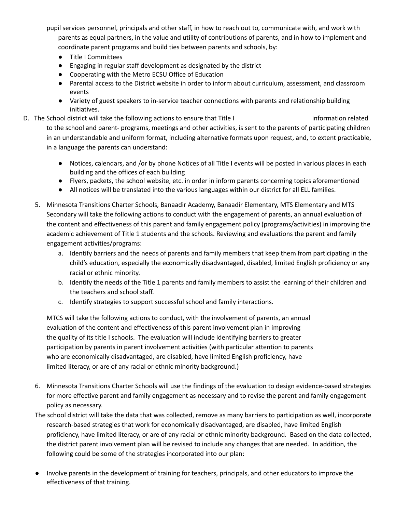pupil services personnel, principals and other staff, in how to reach out to, communicate with, and work with parents as equal partners, in the value and utility of contributions of parents, and in how to implement and coordinate parent programs and build ties between parents and schools, by:

- Title I Committees
- Engaging in regular staff development as designated by the district
- Cooperating with the Metro ECSU Office of Education
- Parental access to the District website in order to inform about curriculum, assessment, and classroom events
- Variety of guest speakers to in-service teacher connections with parents and relationship building initiatives.
- D. The School district will take the following actions to ensure that Title I information related to the school and parent- programs, meetings and other activities, is sent to the parents of participating children in an understandable and uniform format, including alternative formats upon request, and, to extent practicable, in a language the parents can understand:
	- Notices, calendars, and /or by phone Notices of all Title I events will be posted in various places in each building and the offices of each building
	- Flyers, packets, the school website, etc. in order in inform parents concerning topics aforementioned
	- All notices will be translated into the various languages within our district for all ELL families.
	- 5. Minnesota Transitions Charter Schools, Banaadir Academy, Banaadir Elementary, MTS Elementary and MTS Secondary will take the following actions to conduct with the engagement of parents, an annual evaluation of the content and effectiveness of this parent and family engagement policy (programs/activities) in improving the academic achievement of Title 1 students and the schools. Reviewing and evaluations the parent and family engagement activities/programs:
		- a. Identify barriers and the needs of parents and family members that keep them from participating in the child's education, especially the economically disadvantaged, disabled, limited English proficiency or any racial or ethnic minority.
		- b. Identify the needs of the Title 1 parents and family members to assist the learning of their children and the teachers and school staff.
		- c. Identify strategies to support successful school and family interactions.

MTCS will take the following actions to conduct, with the involvement of parents, an annual evaluation of the content and effectiveness of this parent involvement plan in improving the quality of its title I schools. The evaluation will include identifying barriers to greater participation by parents in parent involvement activities (with particular attention to parents who are economically disadvantaged, are disabled, have limited English proficiency, have limited literacy, or are of any racial or ethnic minority background.)

- 6. Minnesota Transitions Charter Schools will use the findings of the evaluation to design evidence-based strategies for more effective parent and family engagement as necessary and to revise the parent and family engagement policy as necessary.
- The school district will take the data that was collected, remove as many barriers to participation as well, incorporate research-based strategies that work for economically disadvantaged, are disabled, have limited English proficiency, have limited literacy, or are of any racial or ethnic minority background. Based on the data collected, the district parent involvement plan will be revised to include any changes that are needed. In addition, the following could be some of the strategies incorporated into our plan:
- Involve parents in the development of training for teachers, principals, and other educators to improve the effectiveness of that training.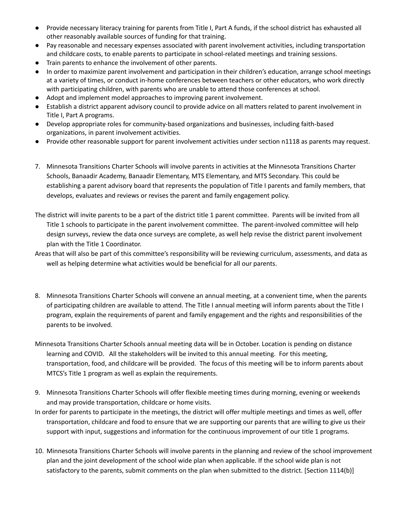- Provide necessary literacy training for parents from Title I, Part A funds, if the school district has exhausted all other reasonably available sources of funding for that training.
- Pay reasonable and necessary expenses associated with parent involvement activities, including transportation and childcare costs, to enable parents to participate in school-related meetings and training sessions.
- Train parents to enhance the involvement of other parents.
- In order to maximize parent involvement and participation in their children's education, arrange school meetings at a variety of times, or conduct in-home conferences between teachers or other educators, who work directly with participating children, with parents who are unable to attend those conferences at school.
- Adopt and implement model approaches to improving parent involvement.
- Establish a district apparent advisory council to provide advice on all matters related to parent involvement in Title I, Part A programs.
- Develop appropriate roles for community-based organizations and businesses, including faith-based organizations, in parent involvement activities.
- Provide other reasonable support for parent involvement activities under section n1118 as parents may request.
- 7. Minnesota Transitions Charter Schools will involve parents in activities at the Minnesota Transitions Charter Schools, Banaadir Academy, Banaadir Elementary, MTS Elementary, and MTS Secondary. This could be establishing a parent advisory board that represents the population of Title I parents and family members, that develops, evaluates and reviews or revises the parent and family engagement policy.
- The district will invite parents to be a part of the district title 1 parent committee. Parents will be invited from all Title 1 schools to participate in the parent involvement committee. The parent-involved committee will help design surveys, review the data once surveys are complete, as well help revise the district parent involvement plan with the Title 1 Coordinator.
- Areas that will also be part of this committee's responsibility will be reviewing curriculum, assessments, and data as well as helping determine what activities would be beneficial for all our parents.
- 8. Minnesota Transitions Charter Schools will convene an annual meeting, at a convenient time, when the parents of participating children are available to attend. The Title I annual meeting will inform parents about the Title I program, explain the requirements of parent and family engagement and the rights and responsibilities of the parents to be involved.
- Minnesota Transitions Charter Schools annual meeting data will be in October. Location is pending on distance learning and COVID. All the stakeholders will be invited to this annual meeting. For this meeting, transportation, food, and childcare will be provided. The focus of this meeting will be to inform parents about MTCS's Title 1 program as well as explain the requirements.
- 9. Minnesota Transitions Charter Schools will offer flexible meeting times during morning, evening or weekends and may provide transportation, childcare or home visits.
- In order for parents to participate in the meetings, the district will offer multiple meetings and times as well, offer transportation, childcare and food to ensure that we are supporting our parents that are willing to give us their support with input, suggestions and information for the continuous improvement of our title 1 programs.
- 10. Minnesota Transitions Charter Schools will involve parents in the planning and review of the school improvement plan and the joint development of the school wide plan when applicable. If the school wide plan is not satisfactory to the parents, submit comments on the plan when submitted to the district. [Section 1114(b)]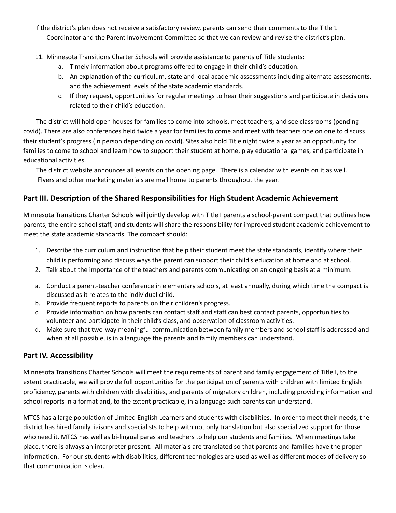If the district's plan does not receive a satisfactory review, parents can send their comments to the Title 1 Coordinator and the Parent Involvement Committee so that we can review and revise the district's plan.

11. Minnesota Transitions Charter Schools will provide assistance to parents of Title students:

- a. Timely information about programs offered to engage in their child's education.
- b. An explanation of the curriculum, state and local academic assessments including alternate assessments, and the achievement levels of the state academic standards.
- c. If they request, opportunities for regular meetings to hear their suggestions and participate in decisions related to their child's education.

The district will hold open houses for families to come into schools, meet teachers, and see classrooms (pending covid). There are also conferences held twice a year for families to come and meet with teachers one on one to discuss their student's progress (in person depending on covid). Sites also hold Title night twice a year as an opportunity for families to come to school and learn how to support their student at home, play educational games, and participate in educational activities.

The district website announces all events on the opening page. There is a calendar with events on it as well. Flyers and other marketing materials are mail home to parents throughout the year.

### **Part III. Description of the Shared Responsibilities for High Student Academic Achievement**

Minnesota Transitions Charter Schools will jointly develop with Title I parents a school-parent compact that outlines how parents, the entire school staff, and students will share the responsibility for improved student academic achievement to meet the state academic standards. The compact should:

- 1. Describe the curriculum and instruction that help their student meet the state standards, identify where their child is performing and discuss ways the parent can support their child's education at home and at school.
- 2. Talk about the importance of the teachers and parents communicating on an ongoing basis at a minimum:
- a. Conduct a parent-teacher conference in elementary schools, at least annually, during which time the compact is discussed as it relates to the individual child.
- b. Provide frequent reports to parents on their children's progress.
- c. Provide information on how parents can contact staff and staff can best contact parents, opportunities to volunteer and participate in their child's class, and observation of classroom activities.
- d. Make sure that two-way meaningful communication between family members and school staff is addressed and when at all possible, is in a language the parents and family members can understand.

## **Part IV. Accessibility**

Minnesota Transitions Charter Schools will meet the requirements of parent and family engagement of Title I, to the extent practicable, we will provide full opportunities for the participation of parents with children with limited English proficiency, parents with children with disabilities, and parents of migratory children, including providing information and school reports in a format and, to the extent practicable, in a language such parents can understand.

MTCS has a large population of Limited English Learners and students with disabilities. In order to meet their needs, the district has hired family liaisons and specialists to help with not only translation but also specialized support for those who need it. MTCS has well as bi-lingual paras and teachers to help our students and families. When meetings take place, there is always an interpreter present. All materials are translated so that parents and families have the proper information. For our students with disabilities, different technologies are used as well as different modes of delivery so that communication is clear.